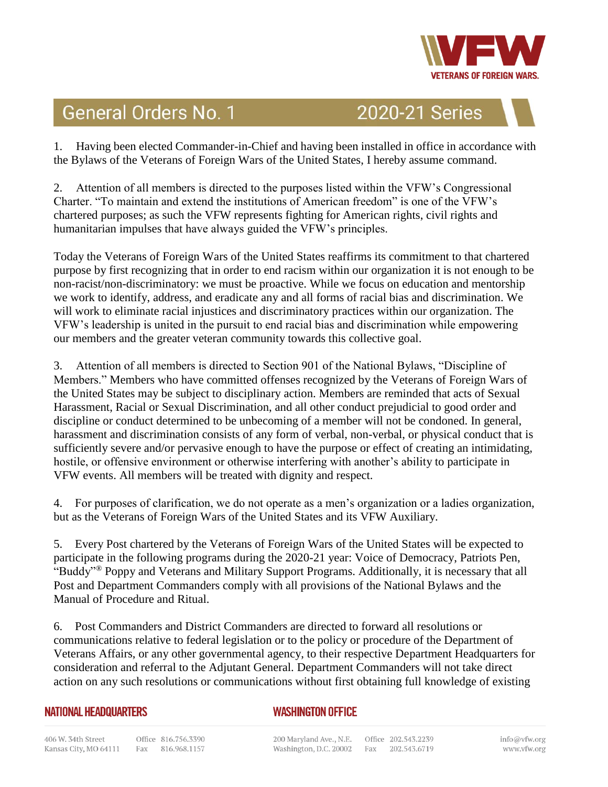

## **General Orders No. 1**

2020-21 Series

1. Having been elected Commander-in-Chief and having been installed in office in accordance with the Bylaws of the Veterans of Foreign Wars of the United States, I hereby assume command.

2. Attention of all members is directed to the purposes listed within the VFW's Congressional Charter. "To maintain and extend the institutions of American freedom" is one of the VFW's chartered purposes; as such the VFW represents fighting for American rights, civil rights and humanitarian impulses that have always guided the VFW's principles.

Today the Veterans of Foreign Wars of the United States reaffirms its commitment to that chartered purpose by first recognizing that in order to end racism within our organization it is not enough to be non-racist/non-discriminatory: we must be proactive. While we focus on education and mentorship we work to identify, address, and eradicate any and all forms of racial bias and discrimination. We will work to eliminate racial injustices and discriminatory practices within our organization. The VFW's leadership is united in the pursuit to end racial bias and discrimination while empowering our members and the greater veteran community towards this collective goal.

3. Attention of all members is directed to Section 901 of the National Bylaws, "Discipline of Members." Members who have committed offenses recognized by the Veterans of Foreign Wars of the United States may be subject to disciplinary action. Members are reminded that acts of Sexual Harassment, Racial or Sexual Discrimination, and all other conduct prejudicial to good order and discipline or conduct determined to be unbecoming of a member will not be condoned. In general, harassment and discrimination consists of any form of verbal, non-verbal, or physical conduct that is sufficiently severe and/or pervasive enough to have the purpose or effect of creating an intimidating, hostile, or offensive environment or otherwise interfering with another's ability to participate in VFW events. All members will be treated with dignity and respect.

4. For purposes of clarification, we do not operate as a men's organization or a ladies organization, but as the Veterans of Foreign Wars of the United States and its VFW Auxiliary.

5. Every Post chartered by the Veterans of Foreign Wars of the United States will be expected to participate in the following programs during the 2020-21 year: Voice of Democracy, Patriots Pen, "Buddy"® Poppy and Veterans and Military Support Programs. Additionally, it is necessary that all Post and Department Commanders comply with all provisions of the National Bylaws and the Manual of Procedure and Ritual.

6. Post Commanders and District Commanders are directed to forward all resolutions or communications relative to federal legislation or to the policy or procedure of the Department of Veterans Affairs, or any other governmental agency, to their respective Department Headquarters for consideration and referral to the Adjutant General. Department Commanders will not take direct action on any such resolutions or communications without first obtaining full knowledge of existing

## **NATIONAL HEADQUARTERS**

## **WASHINGTON OFFICE**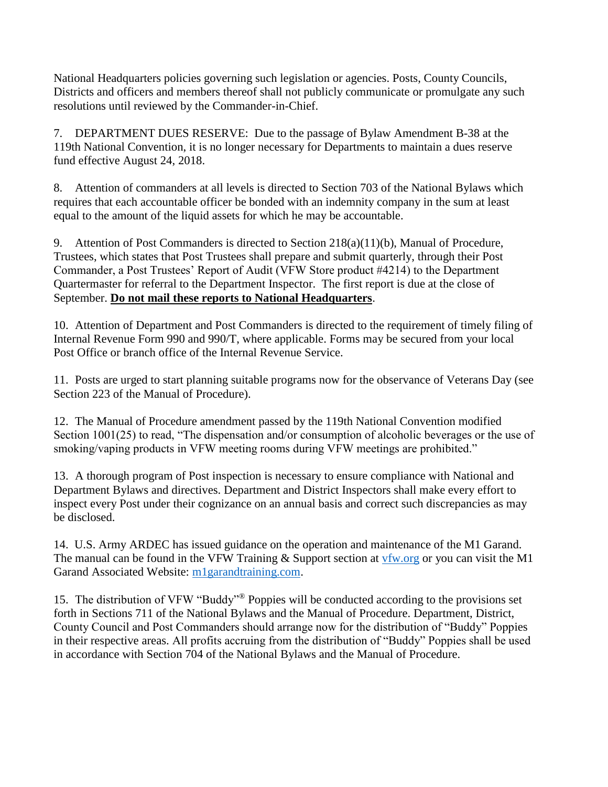National Headquarters policies governing such legislation or agencies. Posts, County Councils, Districts and officers and members thereof shall not publicly communicate or promulgate any such resolutions until reviewed by the Commander-in-Chief.

7. DEPARTMENT DUES RESERVE: Due to the passage of Bylaw Amendment B-38 at the 119th National Convention, it is no longer necessary for Departments to maintain a dues reserve fund effective August 24, 2018.

8. Attention of commanders at all levels is directed to Section 703 of the National Bylaws which requires that each accountable officer be bonded with an indemnity company in the sum at least equal to the amount of the liquid assets for which he may be accountable.

9. Attention of Post Commanders is directed to Section 218(a)(11)(b), Manual of Procedure, Trustees, which states that Post Trustees shall prepare and submit quarterly, through their Post Commander, a Post Trustees' Report of Audit (VFW Store product #4214) to the Department Quartermaster for referral to the Department Inspector. The first report is due at the close of September. **Do not mail these reports to National Headquarters**.

10. Attention of Department and Post Commanders is directed to the requirement of timely filing of Internal Revenue Form 990 and 990/T, where applicable. Forms may be secured from your local Post Office or branch office of the Internal Revenue Service.

11. Posts are urged to start planning suitable programs now for the observance of Veterans Day (see Section 223 of the Manual of Procedure).

12. The Manual of Procedure amendment passed by the 119th National Convention modified Section 1001(25) to read, "The dispensation and/or consumption of alcoholic beverages or the use of smoking/vaping products in VFW meeting rooms during VFW meetings are prohibited."

13. A thorough program of Post inspection is necessary to ensure compliance with National and Department Bylaws and directives. Department and District Inspectors shall make every effort to inspect every Post under their cognizance on an annual basis and correct such discrepancies as may be disclosed.

14. U.S. Army ARDEC has issued guidance on the operation and maintenance of the M1 Garand. The manual can be found in the VFW Training & Support section at [vfw.org](http://vfw.org/) or you can visit the M1 Garand Associated Website: [m1garandtraining.com.](http://www.m1garandtraining.com/)

15. The distribution of VFW "Buddy"® Poppies will be conducted according to the provisions set forth in Sections 711 of the National Bylaws and the Manual of Procedure. Department, District, County Council and Post Commanders should arrange now for the distribution of "Buddy" Poppies in their respective areas. All profits accruing from the distribution of "Buddy" Poppies shall be used in accordance with Section 704 of the National Bylaws and the Manual of Procedure.